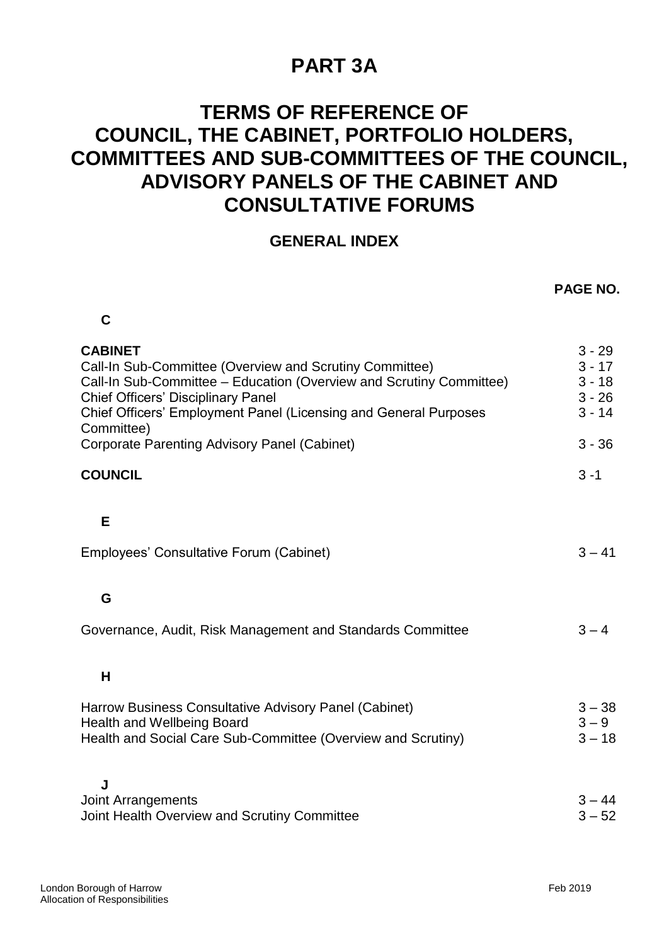# **PART 3A**

## **TERMS OF REFERENCE OF COUNCIL, THE CABINET, PORTFOLIO HOLDERS, COMMITTEES AND SUB-COMMITTEES OF THE COUNCIL, ADVISORY PANELS OF THE CABINET AND CONSULTATIVE FORUMS**

#### **GENERAL INDEX**

| C                                                                                                                                                                                                                                                                               |                                                          |
|---------------------------------------------------------------------------------------------------------------------------------------------------------------------------------------------------------------------------------------------------------------------------------|----------------------------------------------------------|
| <b>CABINET</b><br>Call-In Sub-Committee (Overview and Scrutiny Committee)<br>Call-In Sub-Committee - Education (Overview and Scrutiny Committee)<br><b>Chief Officers' Disciplinary Panel</b><br>Chief Officers' Employment Panel (Licensing and General Purposes<br>Committee) | $3 - 29$<br>$3 - 17$<br>$3 - 18$<br>$3 - 26$<br>$3 - 14$ |
| Corporate Parenting Advisory Panel (Cabinet)                                                                                                                                                                                                                                    | $3 - 36$                                                 |
| <b>COUNCIL</b>                                                                                                                                                                                                                                                                  | $3 - 1$                                                  |
|                                                                                                                                                                                                                                                                                 |                                                          |
| E                                                                                                                                                                                                                                                                               |                                                          |
| Employees' Consultative Forum (Cabinet)                                                                                                                                                                                                                                         | $3 - 41$                                                 |
|                                                                                                                                                                                                                                                                                 |                                                          |
| G                                                                                                                                                                                                                                                                               |                                                          |
| Governance, Audit, Risk Management and Standards Committee                                                                                                                                                                                                                      | $3 - 4$                                                  |
|                                                                                                                                                                                                                                                                                 |                                                          |
| H                                                                                                                                                                                                                                                                               |                                                          |
| Harrow Business Consultative Advisory Panel (Cabinet)                                                                                                                                                                                                                           | $3 - 38$                                                 |
| <b>Health and Wellbeing Board</b><br>Health and Social Care Sub-Committee (Overview and Scrutiny)                                                                                                                                                                               | $3 - 9$<br>$3 - 18$                                      |
|                                                                                                                                                                                                                                                                                 |                                                          |
| J                                                                                                                                                                                                                                                                               |                                                          |
| <b>Joint Arrangements</b><br>Joint Health Overview and Scrutiny Committee                                                                                                                                                                                                       | $3 - 44$<br>$3 - 52$                                     |
|                                                                                                                                                                                                                                                                                 |                                                          |

**PAGE NO.**